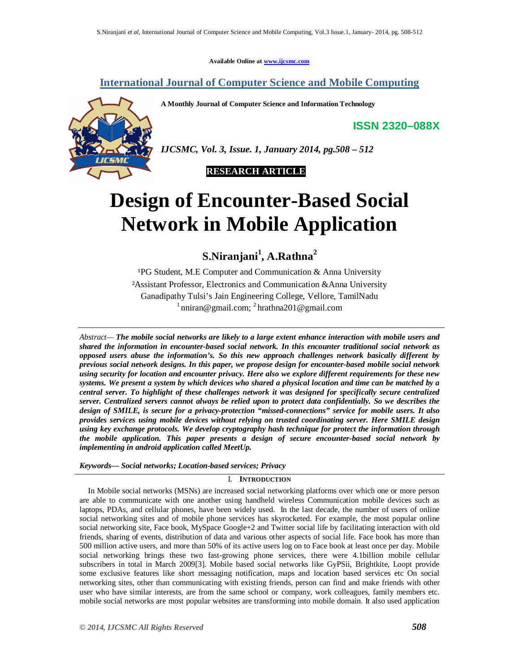**Available Online at www.ijcsmc.com**

# **International Journal of Computer Science and Mobile Computing**

**A Monthly Journal of Computer Science and Information Technology**

**ISSN 2320–088X**



*IJCSMC, Vol. 3, Issue. 1, January 2014, pg.508 – 512*



# **Design of Encounter-Based Social Network in Mobile Application**  $\overline{a}$

# **S.Niranjani<sup>1</sup> , A.Rathna<sup>2</sup>**

<sup>1</sup>PG Student, M.E Computer and Communication  $\&$  Anna University ²Assistant Professor, Electronics and Communication &Anna University Ganadipathy Tulsi's Jain Engineering College, Vellore, TamilNadu  $1$ nniran@gmail.com;  $2$ hrathna201@gmail.com

*Abstract— The mobile social networks are likely to a large extent enhance interaction with mobile users and shared the information in encounter-based social network. In this encounter traditional social network as opposed users abuse the information's. So this new approach challenges network basically different by previous social network designs. In this paper, we propose design for encounter-based mobile social network using security for location and encounter privacy. Here also we explore different requirements for these new systems. We present a system by which devices who shared a physical location and time can be matched by a central server. To highlight of these challenges network it was designed for specifically secure centralized server. Centralized servers cannot always be relied upon to protect data confidentially. So we describes the design of SMILE, is secure for a privacy-protection "missed-connections" service for mobile users. It also provides services using mobile devices without relying on trusted coordinating server. Here SMILE design using key exchange protocols. We develop cryptography hash technique for protect the information through the mobile application. This paper presents a design of secure encounter-based social network by implementing in android application called MeetUp.*

# *Keywords— Social networks; Location-based services; Privacy*

# I. **INTRODUCTION**

In Mobile social networks (MSNs) are increased social networking platforms over which one or more person are able to communicate with one another using handheld wireless Communication mobile devices such as laptops, PDAs, and cellular phones, have been widely used. In the last decade, the number of users of online social networking sites and of mobile phone services has skyrocketed. For example, the most popular online social networking site, Face book, MySpace Google+2 and Twitter social life by facilitating interaction with old friends, sharing of events, distribution of data and various other aspects of social life. Face book has more than 500 million active users, and more than 50% of its active users log on to Face book at least once per day. Mobile social networking brings these two fast-growing phone services, there were 4.1billion mobile cellular subscribers in total in March 2009[3]. Mobile based social networks like GyPSii, Brightkite, Loopt provide some exclusive features like short messaging notification, maps and location based services etc On social networking sites, other than communicating with existing friends, person can find and make friends with other user who have similar interests, are from the same school or company, work colleagues, family members etc. mobile social networks are most popular websites are transforming into mobile domain. It also used application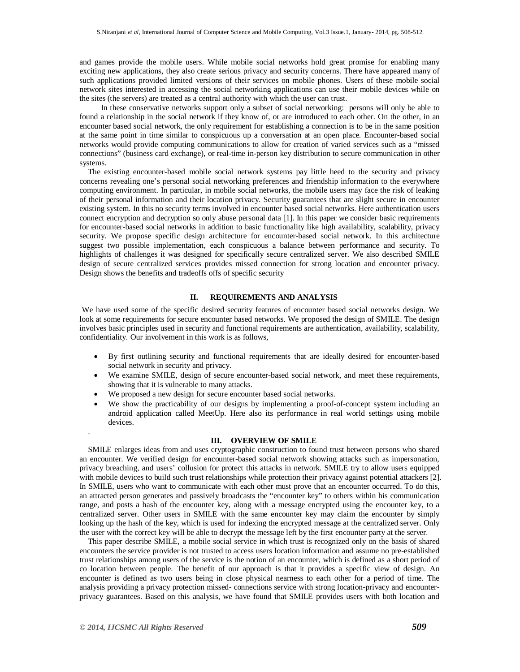and games provide the mobile users. While mobile social networks hold great promise for enabling many exciting new applications, they also create serious privacy and security concerns. There have appeared many of such applications provided limited versions of their services on mobile phones. Users of these mobile social network sites interested in accessing the social networking applications can use their mobile devices while on the sites (the servers) are treated as a central authority with which the user can trust.

 In these conservative networks support only a subset of social networking: persons will only be able to found a relationship in the social network if they know of, or are introduced to each other. On the other, in an encounter based social network, the only requirement for establishing a connection is to be in the same position at the same point in time similar to conspicuous up a conversation at an open place. Encounter-based social networks would provide computing communications to allow for creation of varied services such as a "missed connections" (business card exchange), or real-time in-person key distribution to secure communication in other systems.

The existing encounter-based mobile social network systems pay little heed to the security and privacy concerns revealing one's personal social networking preferences and friendship information to the everywhere computing environment. In particular, in mobile social networks, the mobile users may face the risk of leaking of their personal information and their location privacy. Security guarantees that are slight secure in encounter existing system. In this no security terms involved in encounter based social networks. Here authentication users connect encryption and decryption so only abuse personal data [1]. In this paper we consider basic requirements for encounter-based social networks in addition to basic functionality like high availability, scalability, privacy security. We propose specific design architecture for encounter-based social network. In this architecture suggest two possible implementation, each conspicuous a balance between performance and security. To highlights of challenges it was designed for specifically secure centralized server. We also described SMILE design of secure centralized services provides missed connection for strong location and encounter privacy. Design shows the benefits and tradeoffs offs of specific security

# **II. REQUIREMENTS AND ANALYSIS**

We have used some of the specific desired security features of encounter based social networks design. We look at some requirements for secure encounter based networks. We proposed the design of SMILE. The design involves basic principles used in security and functional requirements are authentication, availability, scalability, confidentiality. Our involvement in this work is as follows,

- By first outlining security and functional requirements that are ideally desired for encounter-based social network in security and privacy.
- We examine SMILE, design of secure encounter-based social network, and meet these requirements, showing that it is vulnerable to many attacks.
- We proposed a new design for secure encounter based social networks.
- We show the practicability of our designs by implementing a proof-of-concept system including an android application called MeetUp. Here also its performance in real world settings using mobile devices.

## **III. OVERVIEW OF SMILE**

SMILE enlarges ideas from and uses cryptographic construction to found trust between persons who shared an encounter. We verified design for encounter-based social network showing attacks such as impersonation, privacy breaching, and users' collusion for protect this attacks in network. SMILE try to allow users equipped with mobile devices to build such trust relationships while protection their privacy against potential attackers [2]. In SMILE, users who want to communicate with each other must prove that an encounter occurred. To do this, an attracted person generates and passively broadcasts the "encounter key" to others within his communication range, and posts a hash of the encounter key, along with a message encrypted using the encounter key, to a centralized server. Other users in SMILE with the same encounter key may claim the encounter by simply looking up the hash of the key, which is used for indexing the encrypted message at the centralized server. Only the user with the correct key will be able to decrypt the message left by the first encounter party at the server.

This paper describe SMILE, a mobile social service in which trust is recognized only on the basis of shared encounters the service provider is not trusted to access users location information and assume no pre-established trust relationships among users of the service is the notion of an encounter, which is defined as a short period of co location between people. The benefit of our approach is that it provides a specific view of design. An encounter is defined as two users being in close physical nearness to each other for a period of time. The analysis providing a privacy protection missed- connections service with strong location-privacy and encounterprivacy guarantees. Based on this analysis, we have found that SMILE provides users with both location and

.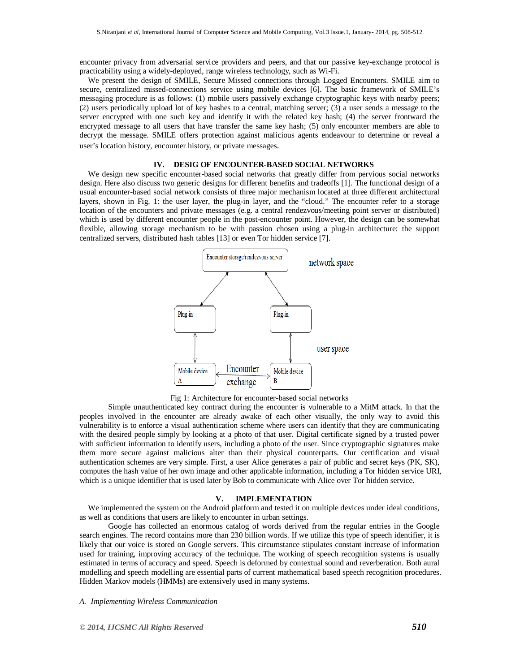encounter privacy from adversarial service providers and peers, and that our passive key-exchange protocol is practicability using a widely-deployed, range wireless technology, such as Wi-Fi.

We present the design of SMILE, Secure Missed connections through Logged Encounters. SMILE aim to secure, centralized missed-connections service using mobile devices [6]. The basic framework of SMILE's messaging procedure is as follows: (1) mobile users passively exchange cryptographic keys with nearby peers; (2) users periodically upload lot of key hashes to a central, matching server; (3) a user sends a message to the server encrypted with one such key and identify it with the related key hash; (4) the server frontward the encrypted message to all users that have transfer the same key hash; (5) only encounter members are able to decrypt the message. SMILE offers protection against malicious agents endeavour to determine or reveal a user's location history, encounter history, or private messages.

# **IV. DESIG OF ENCOUNTER-BASED SOCIAL NETWORKS**

We design new specific encounter-based social networks that greatly differ from pervious social networks design. Here also discuss two generic designs for different benefits and tradeoffs [1]. The functional design of a usual encounter-based social network consists of three major mechanism located at three different architectural layers, shown in Fig. 1: the user layer, the plug-in layer, and the "cloud." The encounter refer to a storage location of the encounters and private messages (e.g. a central rendezvous/meeting point server or distributed) which is used by different encounter people in the post-encounter point. However, the design can be somewhat flexible, allowing storage mechanism to be with passion chosen using a plug-in architecture: the support centralized servers, distributed hash tables [13] or even Tor hidden service [7].



Fig 1: Architecture for encounter-based social networks

Simple unauthenticated key contract during the encounter is vulnerable to a MitM attack. In that the peoples involved in the encounter are already awake of each other visually, the only way to avoid this vulnerability is to enforce a visual authentication scheme where users can identify that they are communicating with the desired people simply by looking at a photo of that user. Digital certificate signed by a trusted power with sufficient information to identify users, including a photo of the user. Since cryptographic signatures make them more secure against malicious alter than their physical counterparts. Our certification and visual authentication schemes are very simple. First, a user Alice generates a pair of public and secret keys (PK, SK), computes the hash value of her own image and other applicable information, including a Tor hidden service URI, which is a unique identifier that is used later by Bob to communicate with Alice over Tor hidden service.

#### **V. IMPLEMENTATION**

We implemented the system on the Android platform and tested it on multiple devices under ideal conditions, as well as conditions that users are likely to encounter in urban settings.

Google has collected an enormous catalog of words derived from the regular entries in the Google search engines. The record contains more than 230 billion words. If we utilize this type of speech identifier, it is likely that our voice is stored on Google servers. This circumstance stipulates constant increase of information used for training, improving accuracy of the technique. The working of speech recognition systems is usually estimated in terms of accuracy and speed. Speech is deformed by contextual sound and reverberation. Both aural modelling and speech modelling are essential parts of current mathematical based speech recognition procedures. Hidden Markov models (HMMs) are extensively used in many systems.

*A. Implementing Wireless Communication*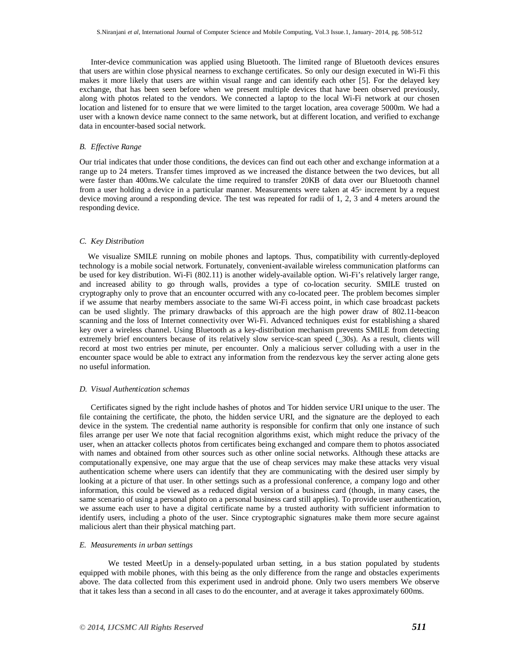Inter-device communication was applied using Bluetooth. The limited range of Bluetooth devices ensures that users are within close physical nearness to exchange certificates. So only our design executed in Wi-Fi this makes it more likely that users are within visual range and can identify each other [5]. For the delayed key exchange, that has been seen before when we present multiple devices that have been observed previously, along with photos related to the vendors. We connected a laptop to the local Wi-Fi network at our chosen location and listened for to ensure that we were limited to the target location, area coverage 5000m. We had a user with a known device name connect to the same network, but at different location, and verified to exchange data in encounter-based social network.

#### *B. Effective Range*

Our trial indicates that under those conditions, the devices can find out each other and exchange information at a range up to 24 meters. Transfer times improved as we increased the distance between the two devices, but all were faster than 400ms.We calculate the time required to transfer 20KB of data over our Bluetooth channel from a user holding a device in a particular manner. Measurements were taken at 45◦ increment by a request device moving around a responding device. The test was repeated for radii of 1, 2, 3 and 4 meters around the responding device.

#### *C. Key Distribution*

We visualize SMILE running on mobile phones and laptops. Thus, compatibility with currently-deployed technology is a mobile social network. Fortunately, convenient-available wireless communication platforms can be used for key distribution. Wi-Fi (802.11) is another widely-available option. Wi-Fi's relatively larger range, and increased ability to go through walls, provides a type of co-location security. SMILE trusted on cryptography only to prove that an encounter occurred with any co-located peer. The problem becomes simpler if we assume that nearby members associate to the same Wi-Fi access point, in which case broadcast packets can be used slightly. The primary drawbacks of this approach are the high power draw of 802.11-beacon scanning and the loss of Internet connectivity over Wi-Fi. Advanced techniques exist for establishing a shared key over a wireless channel. Using Bluetooth as a key-distribution mechanism prevents SMILE from detecting extremely brief encounters because of its relatively slow service-scan speed (\_30s). As a result, clients will record at most two entries per minute, per encounter. Only a malicious server colluding with a user in the encounter space would be able to extract any information from the rendezvous key the server acting alone gets no useful information.

#### *D. Visual Authentication schemas*

Certificates signed by the right include hashes of photos and Tor hidden service URI unique to the user. The file containing the certificate, the photo, the hidden service URI, and the signature are the deployed to each device in the system. The credential name authority is responsible for confirm that only one instance of such files arrange per user We note that facial recognition algorithms exist, which might reduce the privacy of the user, when an attacker collects photos from certificates being exchanged and compare them to photos associated with names and obtained from other sources such as other online social networks. Although these attacks are computationally expensive, one may argue that the use of cheap services may make these attacks very visual authentication scheme where users can identify that they are communicating with the desired user simply by looking at a picture of that user. In other settings such as a professional conference, a company logo and other information, this could be viewed as a reduced digital version of a business card (though, in many cases, the same scenario of using a personal photo on a personal business card still applies). To provide user authentication, we assume each user to have a digital certificate name by a trusted authority with sufficient information to identify users, including a photo of the user. Since cryptographic signatures make them more secure against malicious alert than their physical matching part.

#### *E. Measurements in urban settings*

We tested MeetUp in a densely-populated urban setting, in a bus station populated by students equipped with mobile phones, with this being as the only difference from the range and obstacles experiments above. The data collected from this experiment used in android phone. Only two users members We observe that it takes less than a second in all cases to do the encounter, and at average it takes approximately 600ms.